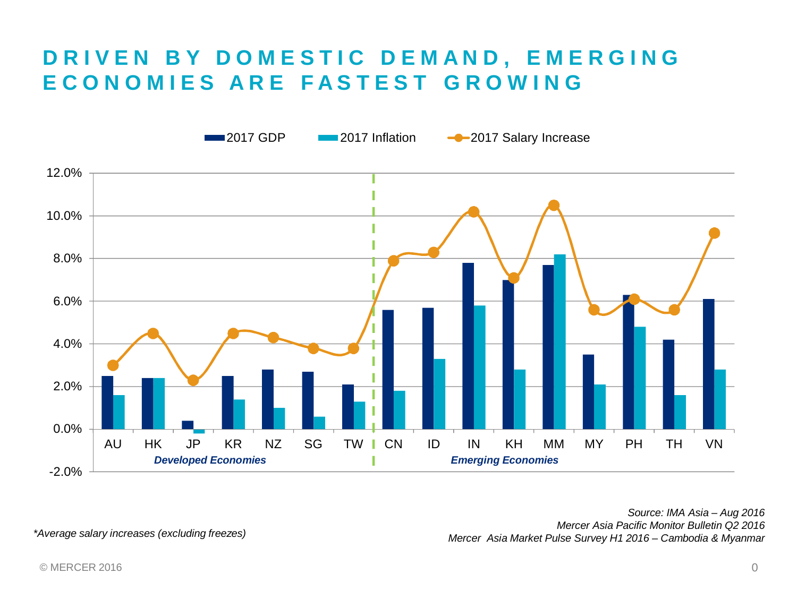### **DRIVEN BY DOMESTIC DEMAND, EMERGING ECONOMIES ARE FASTEST GROWING**



*Mercer Asia Pacific Monitor Bulletin Q2 2016 Mercer Asia Market Pulse Survey H1 2016 – Cambodia & Myanmar \*Average salary increases (excluding freezes)*

*Source: IMA Asia – Aug 2016*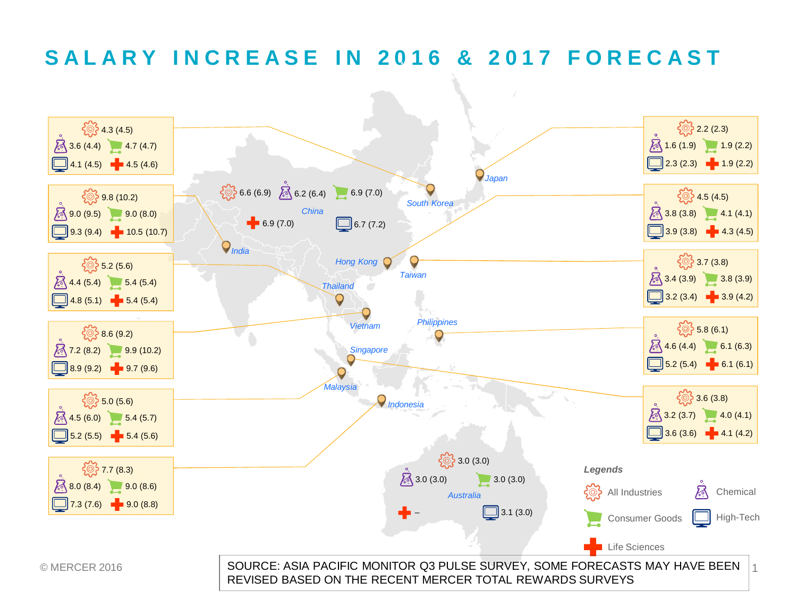### **SALARY INCREASE IN 2016 & 2017 FORECAST**

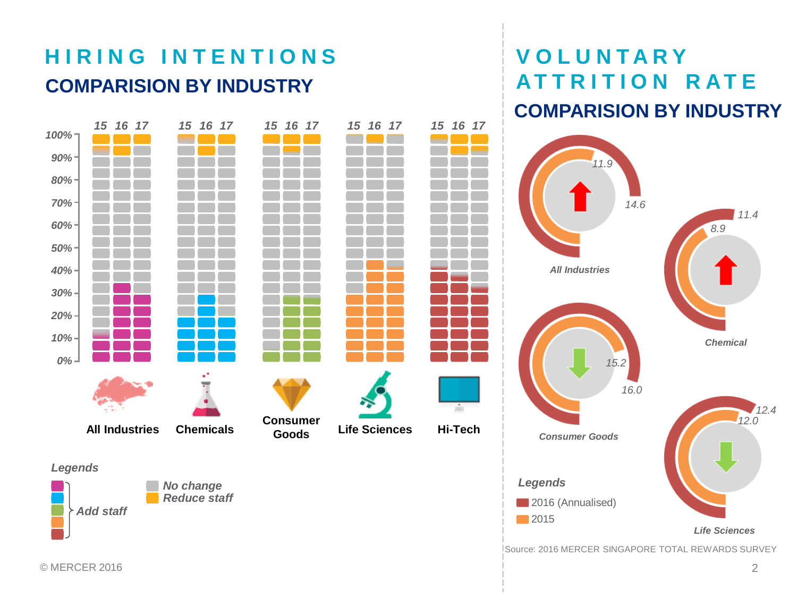# **HIRING INTENTIONS COMPARISION BY INDUSTRY ATTRITION RATE**



# **VOLUNTARY COMPARISION BY INDUSTRY**

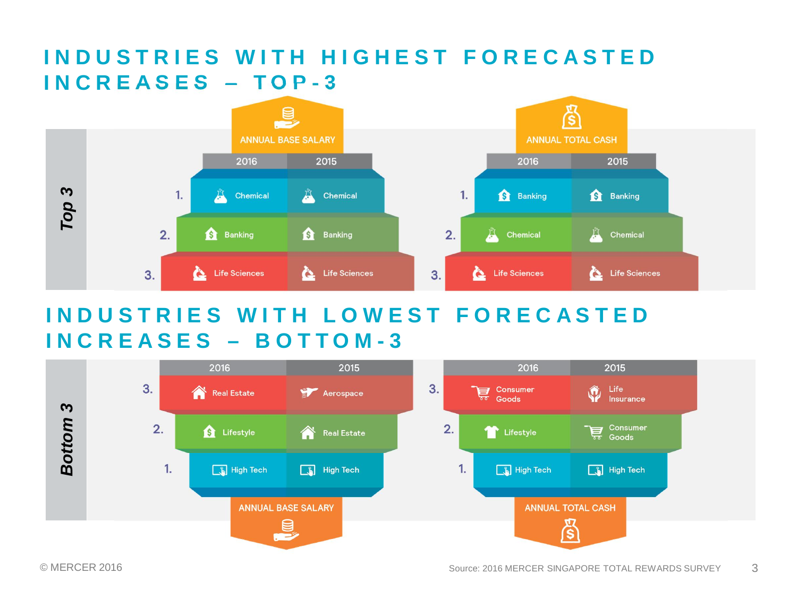### **INDUSTRIES WITH HIGHEST FORECASTED INCREASES – TOP-3**



### **INDUSTRIES WITH LOWEST FORECASTED INCREASES – BOTTOM-3**